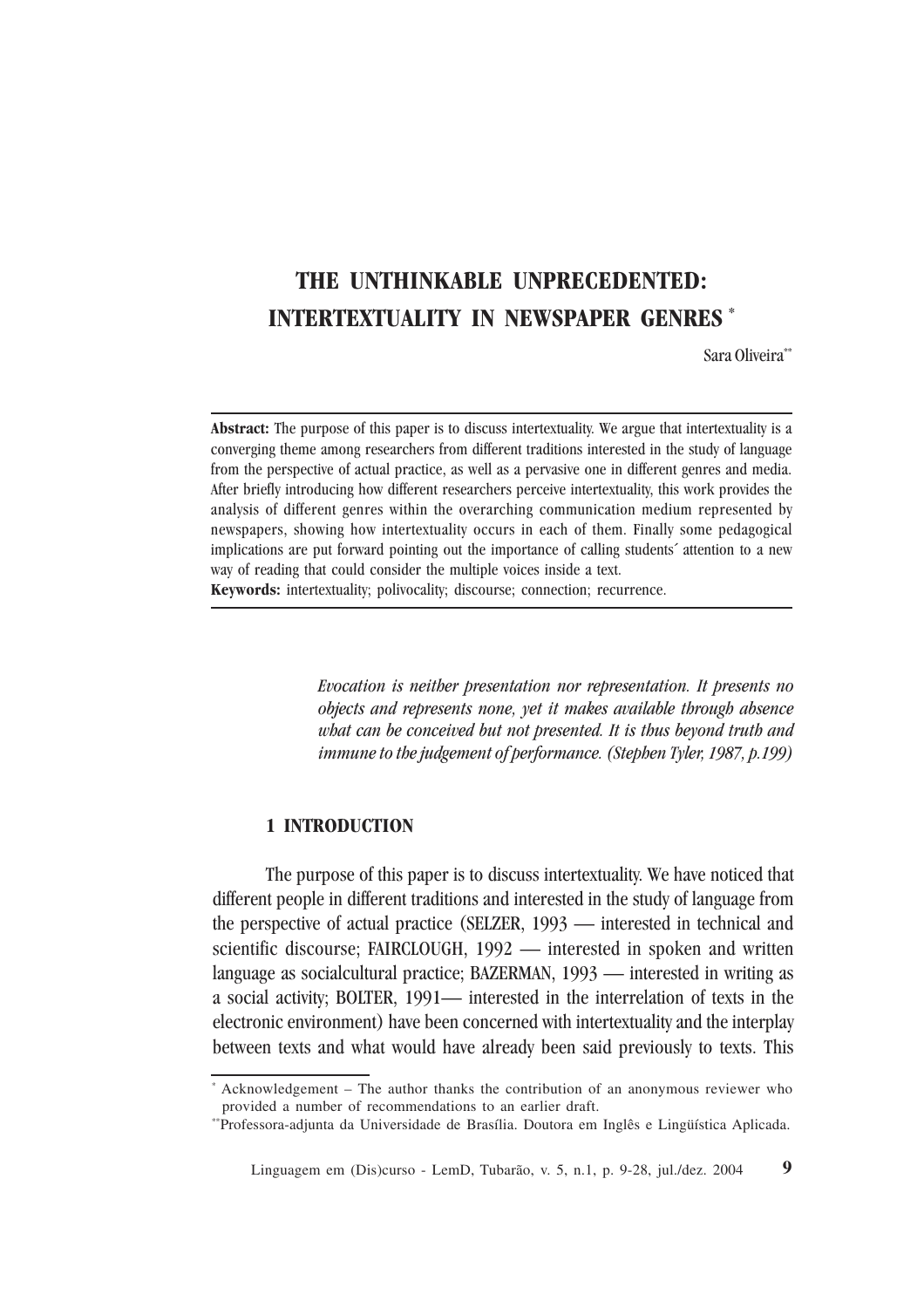# **THE UNTHINKABLE UNPRECEDENTED: INTERTEXTUALITY IN NEWSPAPER GENRES \***

Sara Oliveira\*\*

**Abstract:** The purpose of this paper is to discuss intertextuality. We argue that intertextuality is a converging theme among researchers from different traditions interested in the study of language from the perspective of actual practice, as well as a pervasive one in different genres and media. After briefly introducing how different researchers perceive intertextuality, this work provides the analysis of different genres within the overarching communication medium represented by newspapers, showing how intertextuality occurs in each of them. Finally some pedagogical implications are put forward pointing out the importance of calling students´ attention to a new way of reading that could consider the multiple voices inside a text.

**Keywords:** intertextuality; polivocality; discourse; connection; recurrence.

*Evocation is neither presentation nor representation. It presents no objects and represents none, yet it makes available through absence what can be conceived but not presented. It is thus beyond truth and immune to the judgement of performance. (Stephen Tyler, 1987, p.199)*

#### **1 INTRODUCTION**

The purpose of this paper is to discuss intertextuality. We have noticed that different people in different traditions and interested in the study of language from the perspective of actual practice (SELZER, 1993 — interested in technical and scientific discourse; FAIRCLOUGH, 1992 — interested in spoken and written language as socialcultural practice; BAZERMAN, 1993 — interested in writing as a social activity; BOLTER, 1991— interested in the interrelation of texts in the electronic environment) have been concerned with intertextuality and the interplay between texts and what would have already been said previously to texts. This

<sup>\*</sup> Acknowledgement – The author thanks the contribution of an anonymous reviewer who provided a number of recommendations to an earlier draft.

<sup>\*\*</sup>Professora-adjunta da Universidade de Brasília. Doutora em Inglês e Lingüística Aplicada.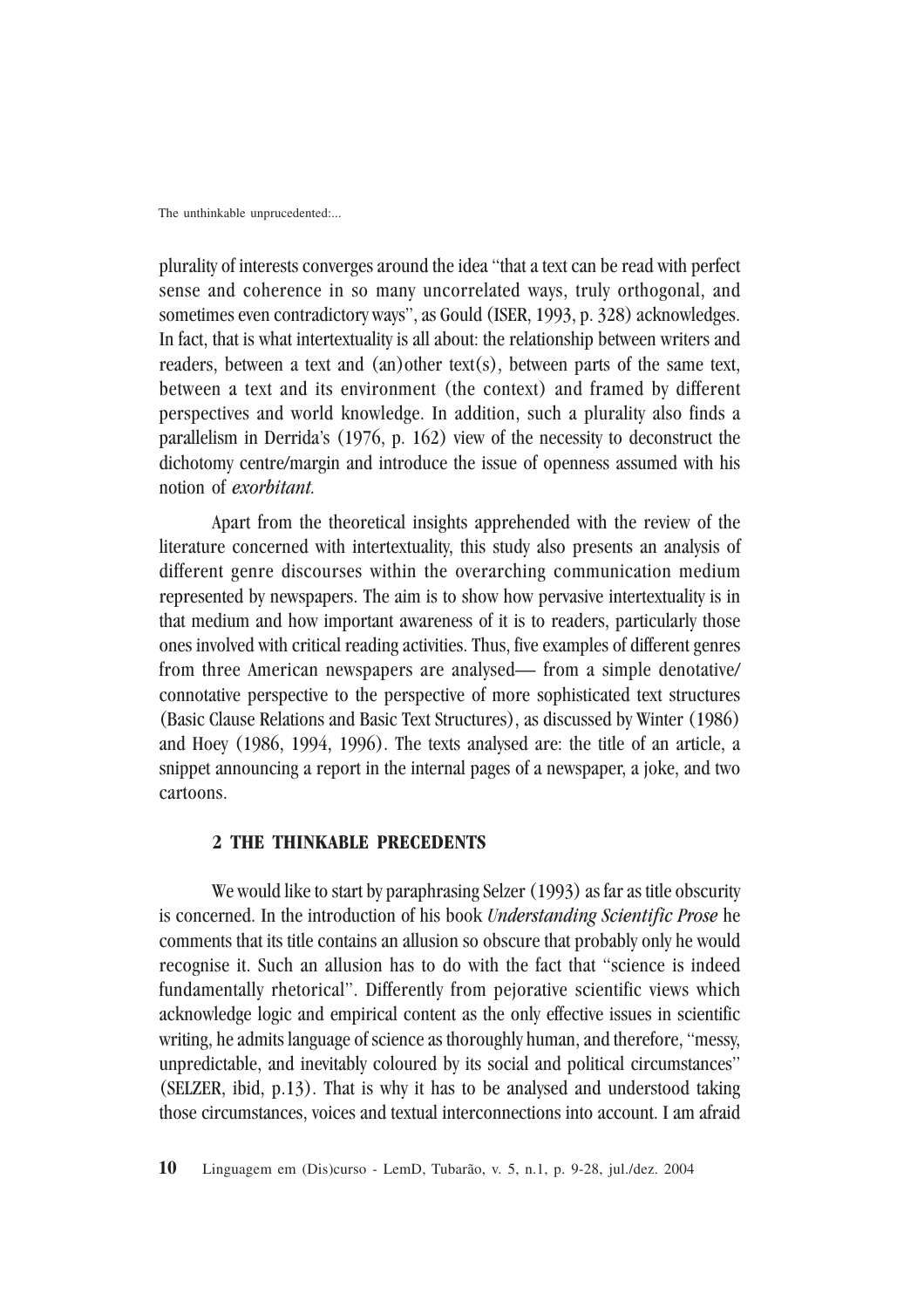plurality of interests converges around the idea "that a text can be read with perfect sense and coherence in so many uncorrelated ways, truly orthogonal, and sometimes even contradictory ways", as Gould (ISER, 1993, p. 328) acknowledges. In fact, that is what intertextuality is all about: the relationship between writers and readers, between a text and (an)other text(s), between parts of the same text, between a text and its environment (the context) and framed by different perspectives and world knowledge. In addition, such a plurality also finds a parallelism in Derrida's (1976, p. 162) view of the necessity to deconstruct the dichotomy centre/margin and introduce the issue of openness assumed with his notion of *exorbitant.*

Apart from the theoretical insights apprehended with the review of the literature concerned with intertextuality, this study also presents an analysis of different genre discourses within the overarching communication medium represented by newspapers. The aim is to show how pervasive intertextuality is in that medium and how important awareness of it is to readers, particularly those ones involved with critical reading activities. Thus, five examples of different genres from three American newspapers are analysed— from a simple denotative/ connotative perspective to the perspective of more sophisticated text structures (Basic Clause Relations and Basic Text Structures), as discussed by Winter (1986) and Hoey (1986, 1994, 1996). The texts analysed are: the title of an article, a snippet announcing a report in the internal pages of a newspaper, a joke, and two cartoons.

#### **2 THE THINKABLE PRECEDENTS**

We would like to start by paraphrasing Selzer (1993) as far as title obscurity is concerned. In the introduction of his book *Understanding Scientific Prose* he comments that its title contains an allusion so obscure that probably only he would recognise it. Such an allusion has to do with the fact that "science is indeed fundamentally rhetorical". Differently from pejorative scientific views which acknowledge logic and empirical content as the only effective issues in scientific writing, he admits language of science as thoroughly human, and therefore, "messy, unpredictable, and inevitably coloured by its social and political circumstances" (SELZER, ibid, p.13). That is why it has to be analysed and understood taking those circumstances, voices and textual interconnections into account. I am afraid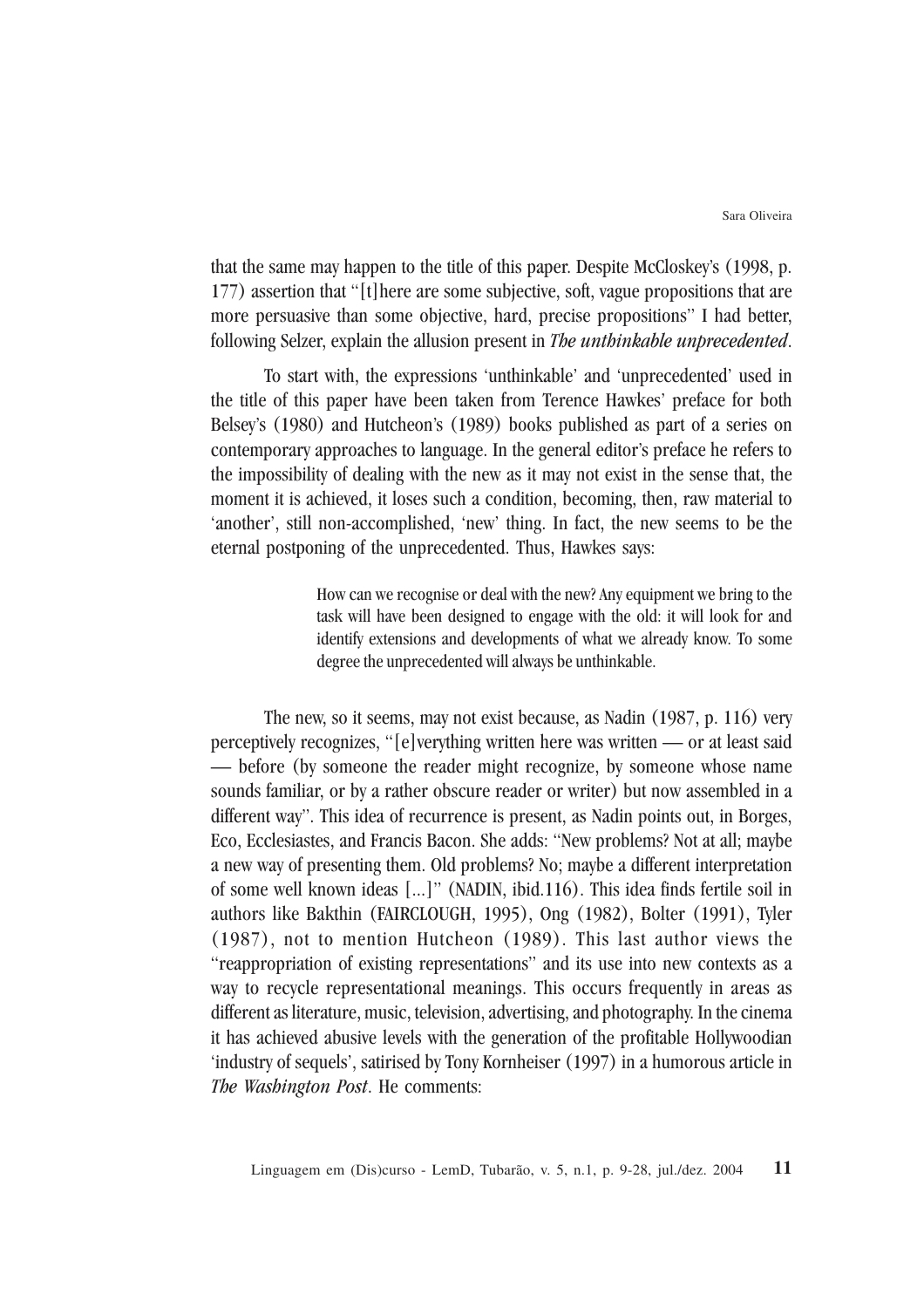that the same may happen to the title of this paper. Despite McCloskey's (1998, p. 177) assertion that "[t]here are some subjective, soft, vague propositions that are more persuasive than some objective, hard, precise propositions" I had better, following Selzer, explain the allusion present in *The unthinkable unprecedented*.

To start with, the expressions 'unthinkable' and 'unprecedented' used in the title of this paper have been taken from Terence Hawkes' preface for both Belsey's (1980) and Hutcheon's (1989) books published as part of a series on contemporary approaches to language. In the general editor's preface he refers to the impossibility of dealing with the new as it may not exist in the sense that, the moment it is achieved, it loses such a condition, becoming, then, raw material to 'another', still non-accomplished, 'new' thing. In fact, the new seems to be the eternal postponing of the unprecedented. Thus, Hawkes says:

> How can we recognise or deal with the new? Any equipment we bring to the task will have been designed to engage with the old: it will look for and identify extensions and developments of what we already know. To some degree the unprecedented will always be unthinkable.

The new, so it seems, may not exist because, as Nadin (1987, p. 116) very perceptively recognizes, "[e]verything written here was written — or at least said — before (by someone the reader might recognize, by someone whose name sounds familiar, or by a rather obscure reader or writer) but now assembled in a different way". This idea of recurrence is present, as Nadin points out, in Borges, Eco, Ecclesiastes, and Francis Bacon. She adds: "New problems? Not at all; maybe a new way of presenting them. Old problems? No; maybe a different interpretation of some well known ideas [...]" (NADIN, ibid.116). This idea finds fertile soil in authors like Bakthin (FAIRCLOUGH, 1995), Ong (1982), Bolter (1991), Tyler (1987), not to mention Hutcheon (1989). This last author views the "reappropriation of existing representations" and its use into new contexts as a way to recycle representational meanings. This occurs frequently in areas as different as literature, music, television, advertising, and photography. In the cinema it has achieved abusive levels with the generation of the profitable Hollywoodian 'industry of sequels', satirised by Tony Kornheiser (1997) in a humorous article in *The Washington Post*. He comments: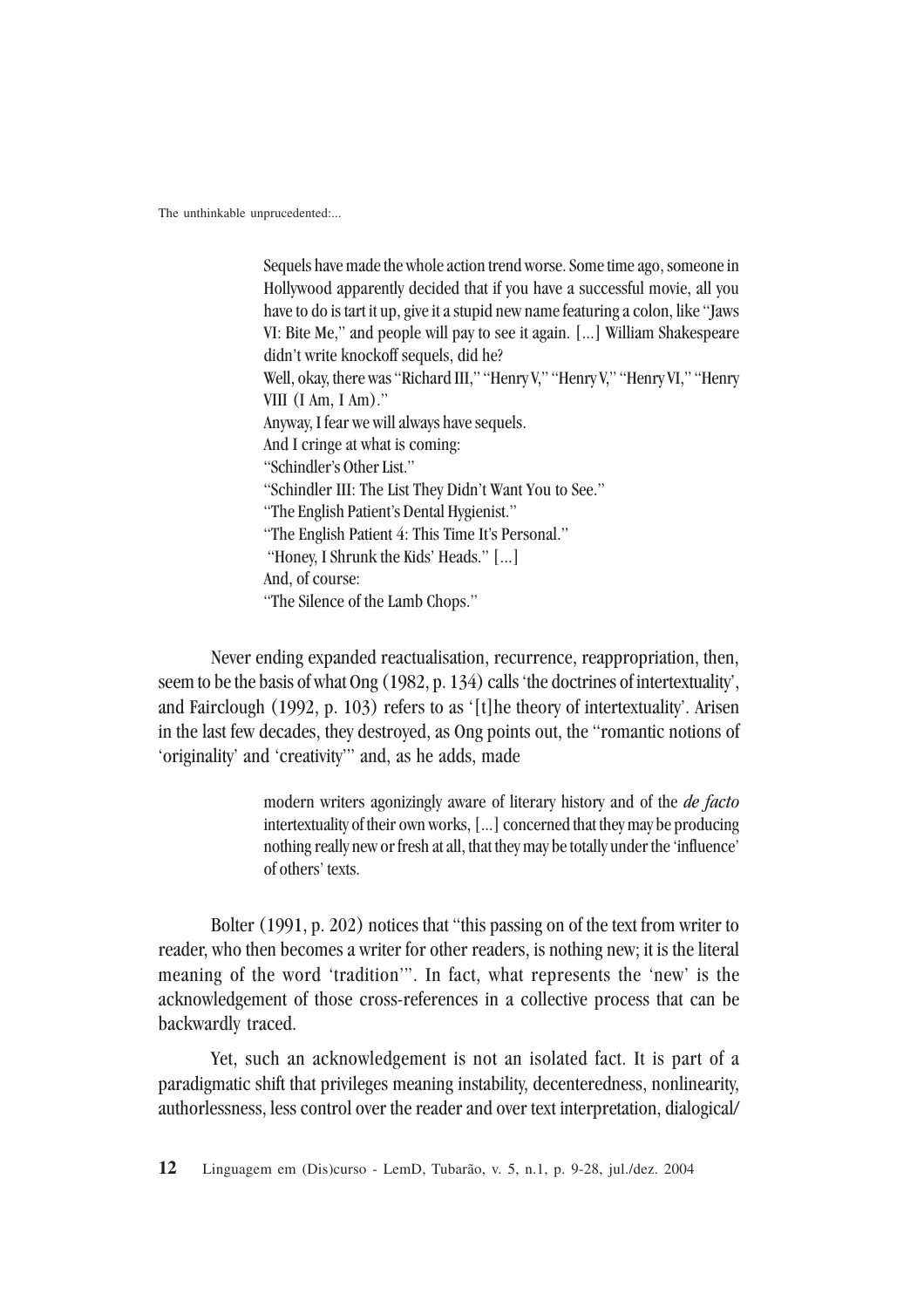Sequels have made the whole action trend worse. Some time ago, someone in Hollywood apparently decided that if you have a successful movie, all you have to do is tart it up, give it a stupid new name featuring a colon, like "Jaws VI: Bite Me," and people will pay to see it again. [...] William Shakespeare didn't write knockoff sequels, did he? Well, okay, there was "Richard III," "Henry V," "Henry V," "Henry VI," "Henry VIII (I Am, I Am)." Anyway, I fear we will always have sequels. And I cringe at what is coming: "Schindler's Other List." "Schindler III: The List They Didn't Want You to See." "The English Patient's Dental Hygienist." "The English Patient 4: This Time It's Personal." "Honey, I Shrunk the Kids' Heads." [...] And, of course: "The Silence of the Lamb Chops."

Never ending expanded reactualisation, recurrence, reappropriation, then, seem to be the basis of what Ong (1982, p. 134) calls 'the doctrines of intertextuality', and Fairclough (1992, p. 103) refers to as '[t]he theory of intertextuality'. Arisen in the last few decades, they destroyed, as Ong points out, the "romantic notions of 'originality' and 'creativity'" and, as he adds, made

> modern writers agonizingly aware of literary history and of the *de facto* intertextuality of their own works, [...] concerned that they may be producing nothing really new or fresh at all, that they may be totally under the 'influence' of others' texts.

Bolter (1991, p. 202) notices that "this passing on of the text from writer to reader, who then becomes a writer for other readers, is nothing new; it is the literal meaning of the word 'tradition'". In fact, what represents the 'new' is the acknowledgement of those cross-references in a collective process that can be backwardly traced.

Yet, such an acknowledgement is not an isolated fact. It is part of a paradigmatic shift that privileges meaning instability, decenteredness, nonlinearity, authorlessness, less control over the reader and over text interpretation, dialogical/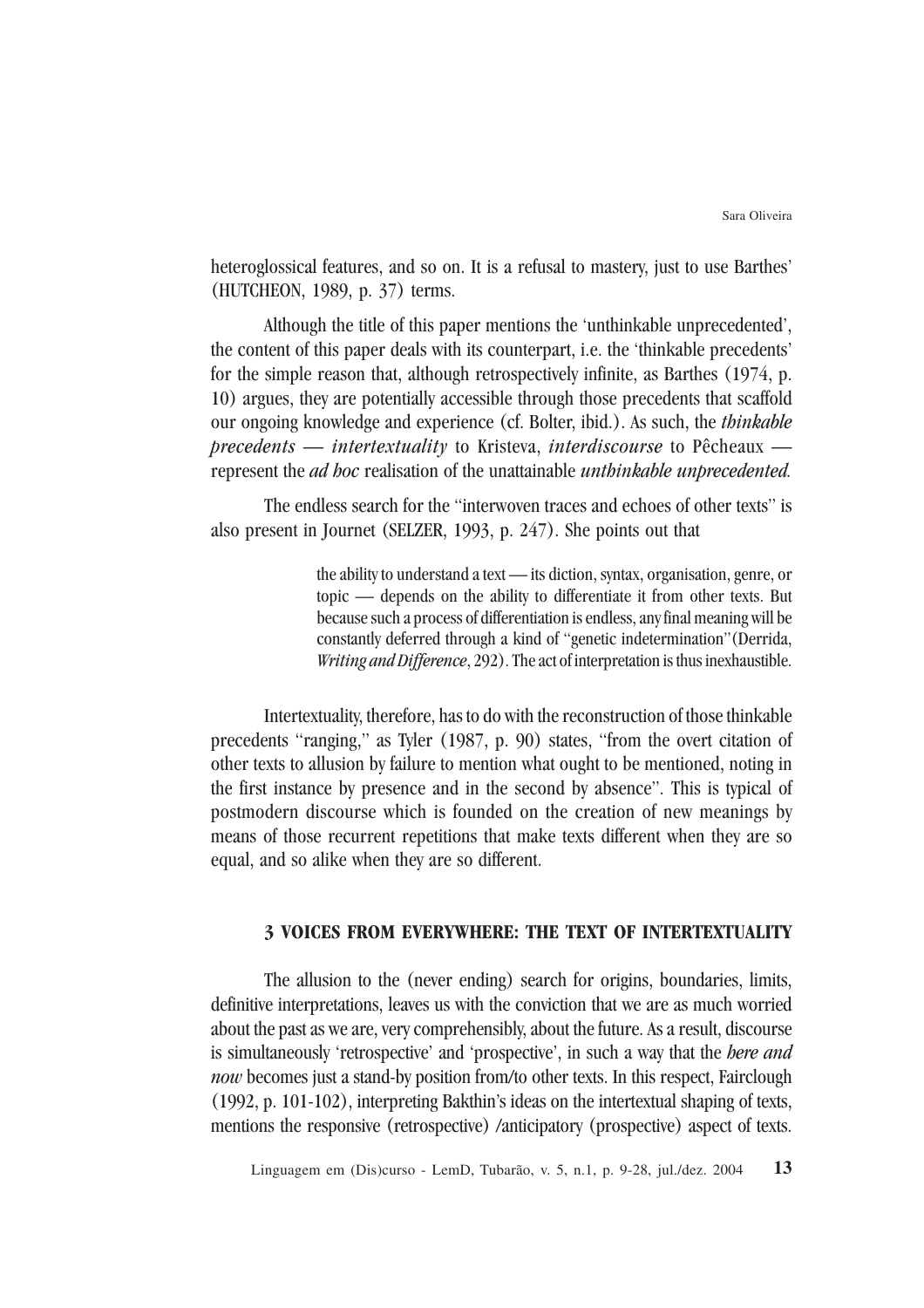heteroglossical features, and so on. It is a refusal to mastery, just to use Barthes' (HUTCHEON, 1989, p. 37) terms.

Although the title of this paper mentions the 'unthinkable unprecedented', the content of this paper deals with its counterpart, i.e. the 'thinkable precedents' for the simple reason that, although retrospectively infinite, as Barthes (1974, p. 10) argues, they are potentially accessible through those precedents that scaffold our ongoing knowledge and experience (cf. Bolter, ibid.). As such, the *thinkable precedents* — *intertextuality* to Kristeva, *interdiscourse* to Pêcheaux represent the *ad hoc* realisation of the unattainable *unthinkable unprecedented.*

The endless search for the "interwoven traces and echoes of other texts" is also present in Journet (SELZER, 1993, p. 247). She points out that

> the ability to understand a text — its diction, syntax, organisation, genre, or topic — depends on the ability to differentiate it from other texts. But because such a process of differentiation is endless, any final meaning will be constantly deferred through a kind of "genetic indetermination"(Derrida, *Writing and Difference*, 292). The act of interpretation is thus inexhaustible.

Intertextuality, therefore, has to do with the reconstruction of those thinkable precedents "ranging," as Tyler (1987, p. 90) states, "from the overt citation of other texts to allusion by failure to mention what ought to be mentioned, noting in the first instance by presence and in the second by absence". This is typical of postmodern discourse which is founded on the creation of new meanings by means of those recurrent repetitions that make texts different when they are so equal, and so alike when they are so different.

# **3 VOICES FROM EVERYWHERE: THE TEXT OF INTERTEXTUALITY**

The allusion to the (never ending) search for origins, boundaries, limits, definitive interpretations, leaves us with the conviction that we are as much worried about the past as we are, very comprehensibly, about the future. As a result, discourse is simultaneously 'retrospective' and 'prospective', in such a way that the *here and now* becomes just a stand-by position from/to other texts. In this respect, Fairclough (1992, p. 101-102), interpreting Bakthin's ideas on the intertextual shaping of texts, mentions the responsive (retrospective) /anticipatory (prospective) aspect of texts.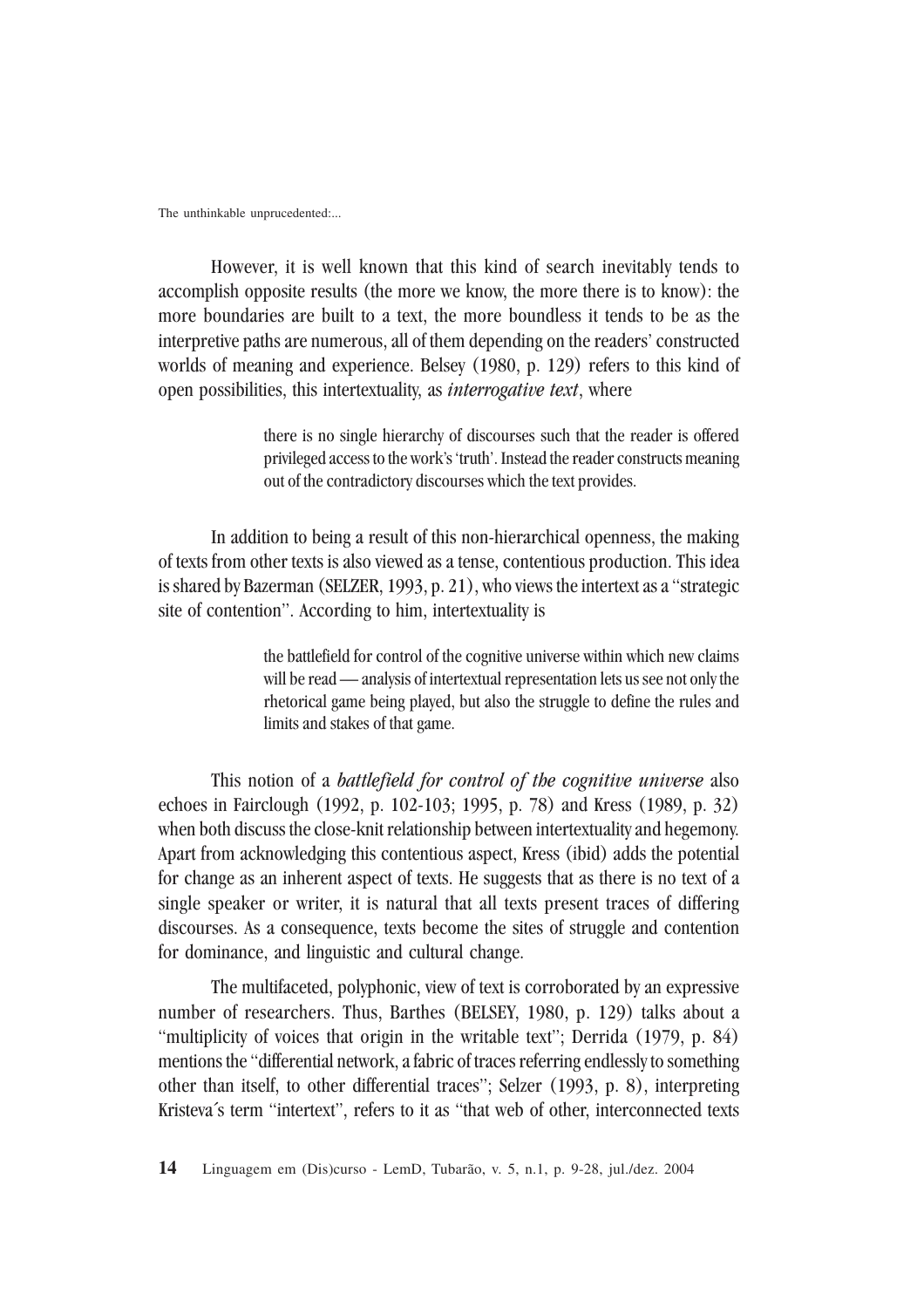However, it is well known that this kind of search inevitably tends to accomplish opposite results (the more we know, the more there is to know): the more boundaries are built to a text, the more boundless it tends to be as the interpretive paths are numerous, all of them depending on the readers' constructed worlds of meaning and experience. Belsey (1980, p. 129) refers to this kind of open possibilities, this intertextuality, as *interrogative text*, where

> there is no single hierarchy of discourses such that the reader is offered privileged access to the work's 'truth'. Instead the reader constructs meaning out of the contradictory discourses which the text provides.

In addition to being a result of this non-hierarchical openness, the making of texts from other texts is also viewed as a tense, contentious production. This idea is shared by Bazerman (SELZER, 1993, p. 21), who views the intertext as a "strategic site of contention". According to him, intertextuality is

> the battlefield for control of the cognitive universe within which new claims will be read — analysis of intertextual representation lets us see not only the rhetorical game being played, but also the struggle to define the rules and limits and stakes of that game.

This notion of a *battlefield for control of the cognitive universe* also echoes in Fairclough (1992, p. 102-103; 1995, p. 78) and Kress (1989, p. 32) when both discuss the close-knit relationship between intertextuality and hegemony. Apart from acknowledging this contentious aspect, Kress (ibid) adds the potential for change as an inherent aspect of texts. He suggests that as there is no text of a single speaker or writer, it is natural that all texts present traces of differing discourses. As a consequence, texts become the sites of struggle and contention for dominance, and linguistic and cultural change.

The multifaceted, polyphonic, view of text is corroborated by an expressive number of researchers. Thus, Barthes (BELSEY, 1980, p. 129) talks about a "multiplicity of voices that origin in the writable text"; Derrida (1979, p. 84) mentions the "differential network, a fabric of traces referring endlessly to something other than itself, to other differential traces"; Selzer (1993, p. 8), interpreting Kristeva´s term "intertext", refers to it as "that web of other, interconnected texts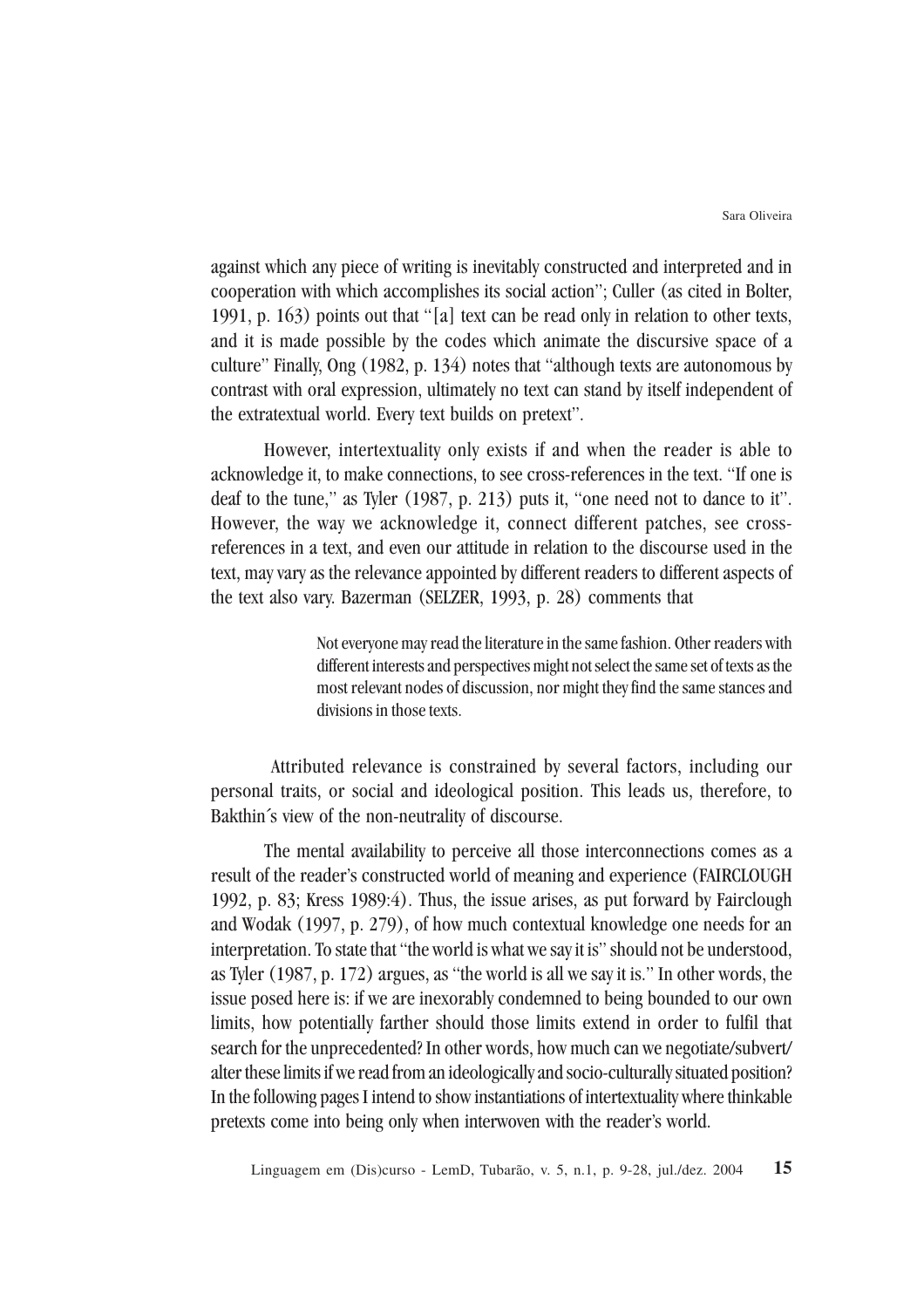against which any piece of writing is inevitably constructed and interpreted and in cooperation with which accomplishes its social action"; Culler (as cited in Bolter, 1991, p. 163) points out that "[a] text can be read only in relation to other texts, and it is made possible by the codes which animate the discursive space of a culture" Finally, Ong (1982, p. 134) notes that "although texts are autonomous by contrast with oral expression, ultimately no text can stand by itself independent of the extratextual world. Every text builds on pretext".

However, intertextuality only exists if and when the reader is able to acknowledge it, to make connections, to see cross-references in the text. "If one is deaf to the tune," as Tyler (1987, p. 213) puts it, "one need not to dance to it". However, the way we acknowledge it, connect different patches, see crossreferences in a text, and even our attitude in relation to the discourse used in the text, may vary as the relevance appointed by different readers to different aspects of the text also vary. Bazerman (SELZER, 1993, p. 28) comments that

> Not everyone may read the literature in the same fashion. Other readers with different interests and perspectives might not select the same set of texts as the most relevant nodes of discussion, nor might they find the same stances and divisions in those texts.

 Attributed relevance is constrained by several factors, including our personal traits, or social and ideological position. This leads us, therefore, to Bakthin´s view of the non-neutrality of discourse.

The mental availability to perceive all those interconnections comes as a result of the reader's constructed world of meaning and experience (FAIRCLOUGH 1992, p. 83; Kress 1989:4). Thus, the issue arises, as put forward by Fairclough and Wodak (1997, p. 279), of how much contextual knowledge one needs for an interpretation. To state that "the world is what we say it is" should not be understood, as Tyler (1987, p. 172) argues, as "the world is all we say it is." In other words, the issue posed here is: if we are inexorably condemned to being bounded to our own limits, how potentially farther should those limits extend in order to fulfil that search for the unprecedented? In other words, how much can we negotiate/subvert/ alter these limits if we read from an ideologically and socio-culturally situated position? In the following pages I intend to show instantiations of intertextuality where thinkable pretexts come into being only when interwoven with the reader's world.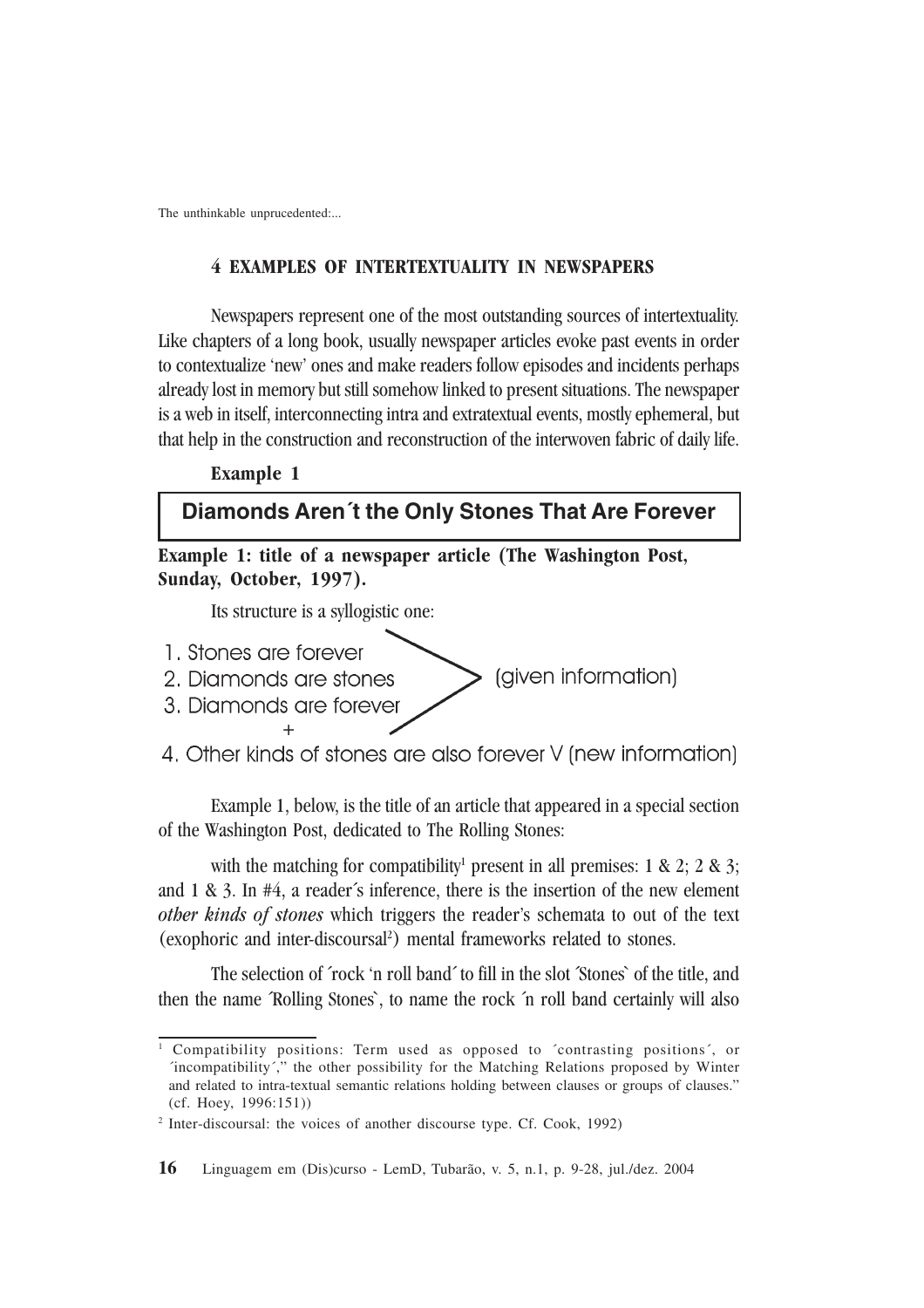#### **4 EXAMPLES OF INTERTEXTUALITY IN NEWSPAPERS**

Newspapers represent one of the most outstanding sources of intertextuality. Like chapters of a long book, usually newspaper articles evoke past events in order to contextualize 'new' ones and make readers follow episodes and incidents perhaps already lost in memory but still somehow linked to present situations. The newspaper is a web in itself, interconnecting intra and extratextual events, mostly ephemeral, but that help in the construction and reconstruction of the interwoven fabric of daily life.

# **Example 1**

# **Diamonds Aren´t the Only Stones That Are Forever**

**Example 1: title of a newspaper article (The Washington Post, Sunday, October, 1997).**

Its structure is a syllogistic one:

- 1. Stones are forever
- (given information) 2. Diamonds are stones
- 3. Diamonds are forever +
- 4. Other kinds of stones are also forever V (new information)

Example 1, below, is the title of an article that appeared in a special section of the Washington Post, dedicated to The Rolling Stones:

with the matching for compatibility<sup>1</sup> present in all premises:  $1 \& 2$ ;  $2 \& 3$ ; and 1 & 3. In #4, a reader´s inference, there is the insertion of the new element *other kinds of stones* which triggers the reader's schemata to out of the text (exophoric and inter-discoursal<sup>2</sup> ) mental frameworks related to stones.

The selection of ´rock 'n roll band´ to fill in the slot ´Stones` of the title, and then the name ´Rolling Stones`, to name the rock ´n roll band certainly will also

<sup>1</sup> Compatibility positions: Term used as opposed to ´contrasting positions´, or ´incompatibility´," the other possibility for the Matching Relations proposed by Winter and related to intra-textual semantic relations holding between clauses or groups of clauses." (cf. Hoey, 1996:151))

<sup>&</sup>lt;sup>2</sup> Inter-discoursal: the voices of another discourse type. Cf. Cook, 1992)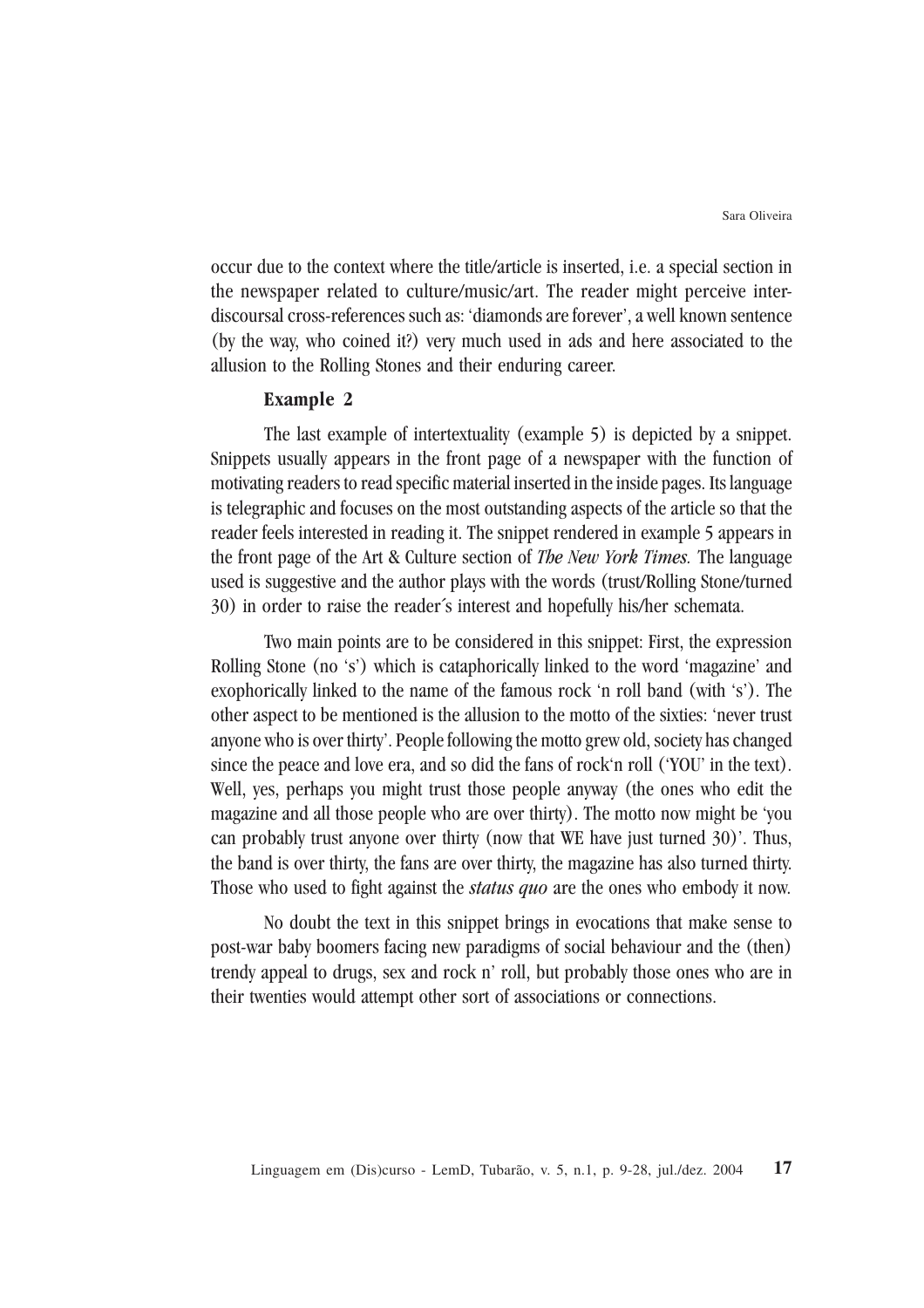occur due to the context where the title/article is inserted, i.e. a special section in the newspaper related to culture/music/art. The reader might perceive interdiscoursal cross-references such as: 'diamonds are forever', a well known sentence (by the way, who coined it?) very much used in ads and here associated to the allusion to the Rolling Stones and their enduring career.

#### **Example 2**

The last example of intertextuality (example 5) is depicted by a snippet. Snippets usually appears in the front page of a newspaper with the function of motivating readers to read specific material inserted in the inside pages. Its language is telegraphic and focuses on the most outstanding aspects of the article so that the reader feels interested in reading it. The snippet rendered in example 5 appears in the front page of the Art & Culture section of *The New York Times.* The language used is suggestive and the author plays with the words (trust/Rolling Stone/turned 30) in order to raise the reader´s interest and hopefully his/her schemata.

Two main points are to be considered in this snippet: First, the expression Rolling Stone (no 's') which is cataphorically linked to the word 'magazine' and exophorically linked to the name of the famous rock 'n roll band (with 's'). The other aspect to be mentioned is the allusion to the motto of the sixties: 'never trust anyone who is over thirty'. People following the motto grew old, society has changed since the peace and love era, and so did the fans of rock'n roll ('YOU' in the text). Well, yes, perhaps you might trust those people anyway (the ones who edit the magazine and all those people who are over thirty). The motto now might be 'you can probably trust anyone over thirty (now that WE have just turned 30)'. Thus, the band is over thirty, the fans are over thirty, the magazine has also turned thirty. Those who used to fight against the *status quo* are the ones who embody it now.

No doubt the text in this snippet brings in evocations that make sense to post-war baby boomers facing new paradigms of social behaviour and the (then) trendy appeal to drugs, sex and rock n' roll, but probably those ones who are in their twenties would attempt other sort of associations or connections.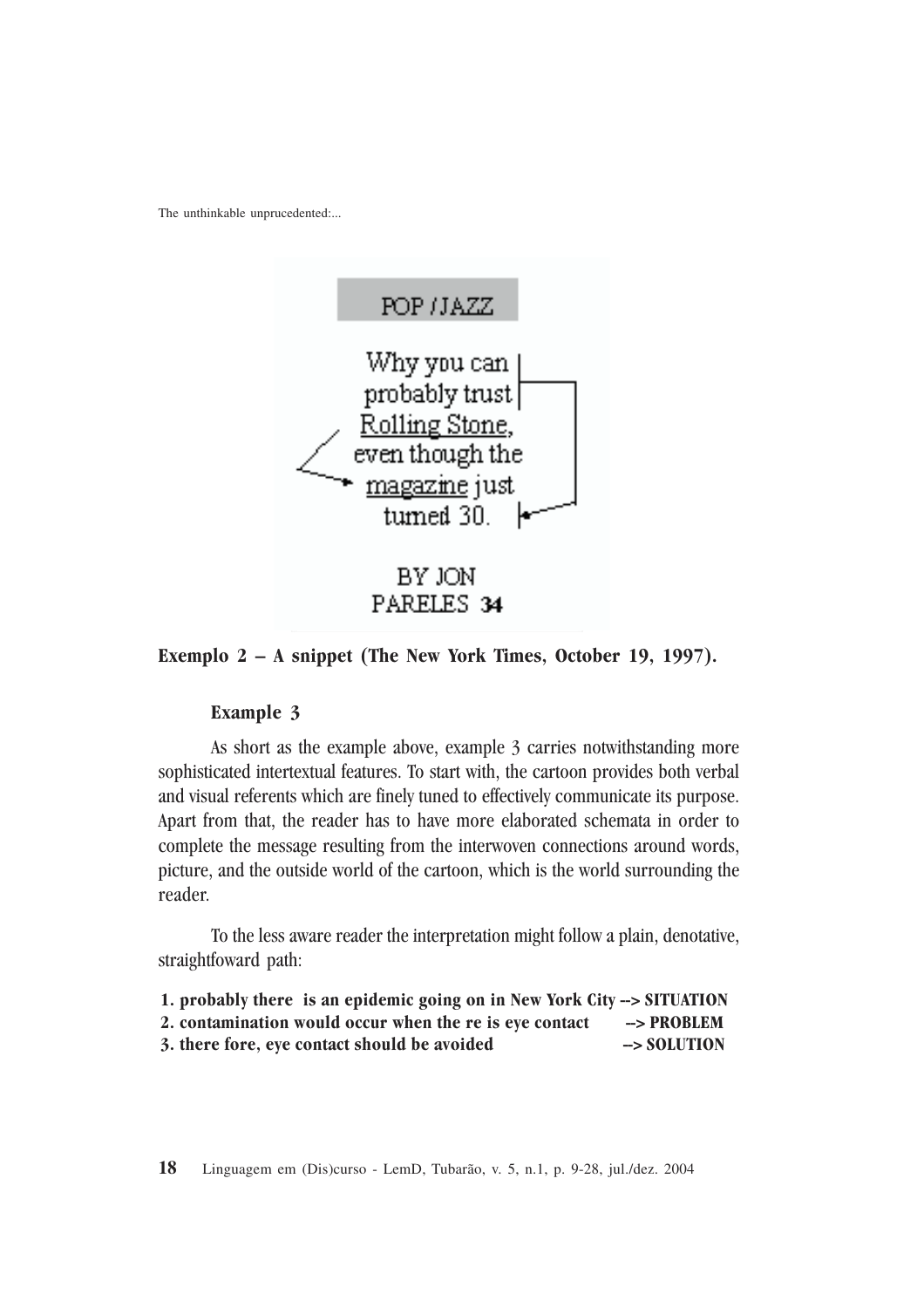

**Exemplo 2 – A snippet (The New York Times, October 19, 1997).**

#### **Example 3**

As short as the example above, example 3 carries notwithstanding more sophisticated intertextual features. To start with, the cartoon provides both verbal and visual referents which are finely tuned to effectively communicate its purpose. Apart from that, the reader has to have more elaborated schemata in order to complete the message resulting from the interwoven connections around words, picture, and the outside world of the cartoon, which is the world surrounding the reader.

To the less aware reader the interpretation might follow a plain, denotative, straightfoward path:

**1. probably there is an epidemic going on in New York City --> SITUATION** 2. contamination would occur when the re is eye contact --> PROBLEM 3. there fore, eye contact should be avoided  $\rightarrow$  SOLUTION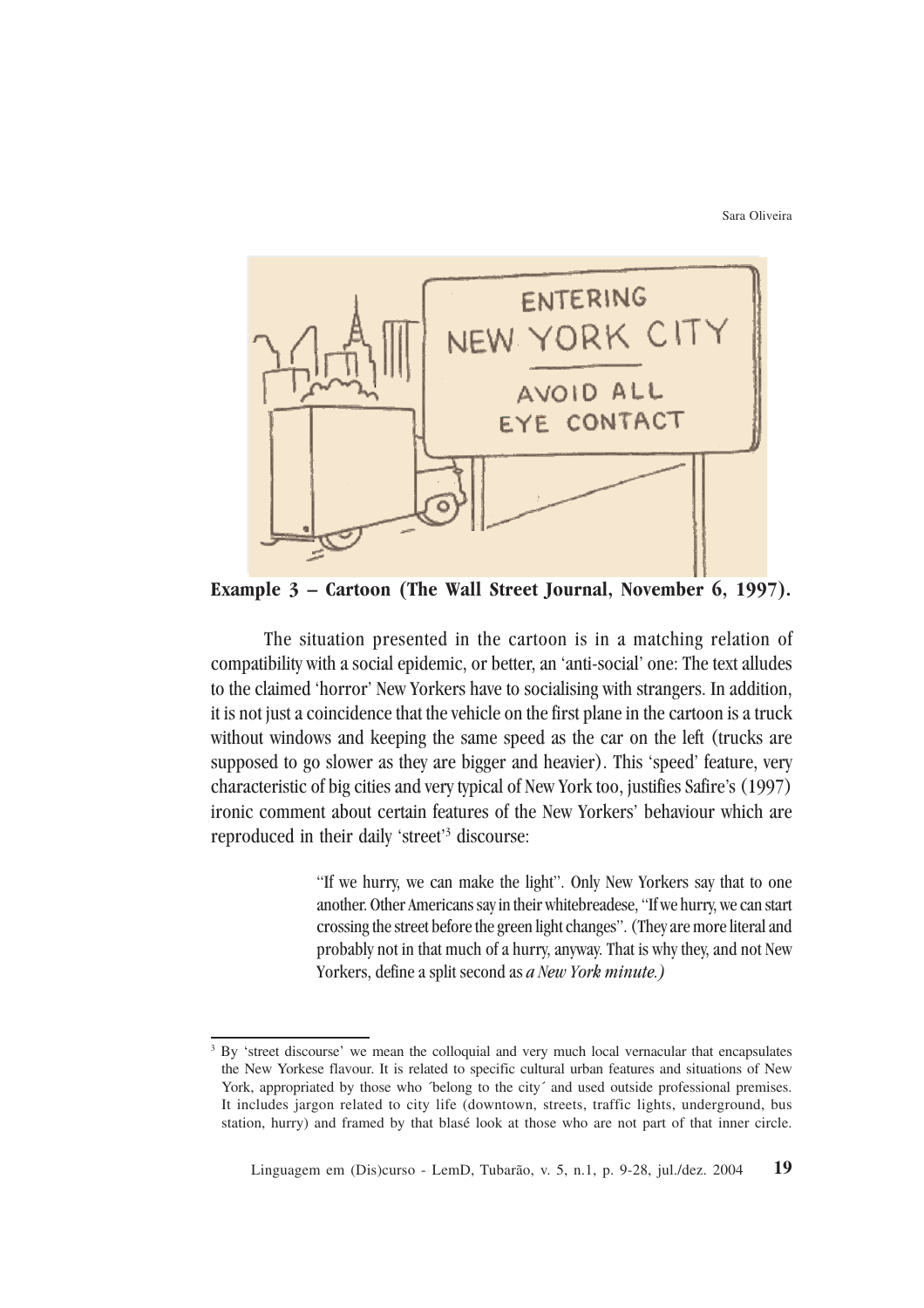Sara Oliveira



**Example 3 – Cartoon (The Wall Street Journal, November 6, 1997).**

The situation presented in the cartoon is in a matching relation of compatibility with a social epidemic, or better, an 'anti-social' one: The text alludes to the claimed 'horror' New Yorkers have to socialising with strangers. In addition, it is not just a coincidence that the vehicle on the first plane in the cartoon is a truck without windows and keeping the same speed as the car on the left (trucks are supposed to go slower as they are bigger and heavier). This 'speed' feature, very characteristic of big cities and very typical of New York too, justifies Safire's (1997) ironic comment about certain features of the New Yorkers' behaviour which are reproduced in their daily 'street'<sup>3</sup> discourse:

> "If we hurry, we can make the light". Only New Yorkers say that to one another. Other Americans say in their whitebreadese, "If we hurry, we can start crossing the street before the green light changes". (They are more literal and probably not in that much of a hurry, anyway. That is why they, and not New Yorkers, define a split second as *a New York minute.)*

<sup>&</sup>lt;sup>3</sup> By 'street discourse' we mean the colloquial and very much local vernacular that encapsulates the New Yorkese flavour. It is related to specific cultural urban features and situations of New York, appropriated by those who *'belong* to the city' and used outside professional premises. It includes jargon related to city life (downtown, streets, traffic lights, underground, bus station, hurry) and framed by that blasé look at those who are not part of that inner circle.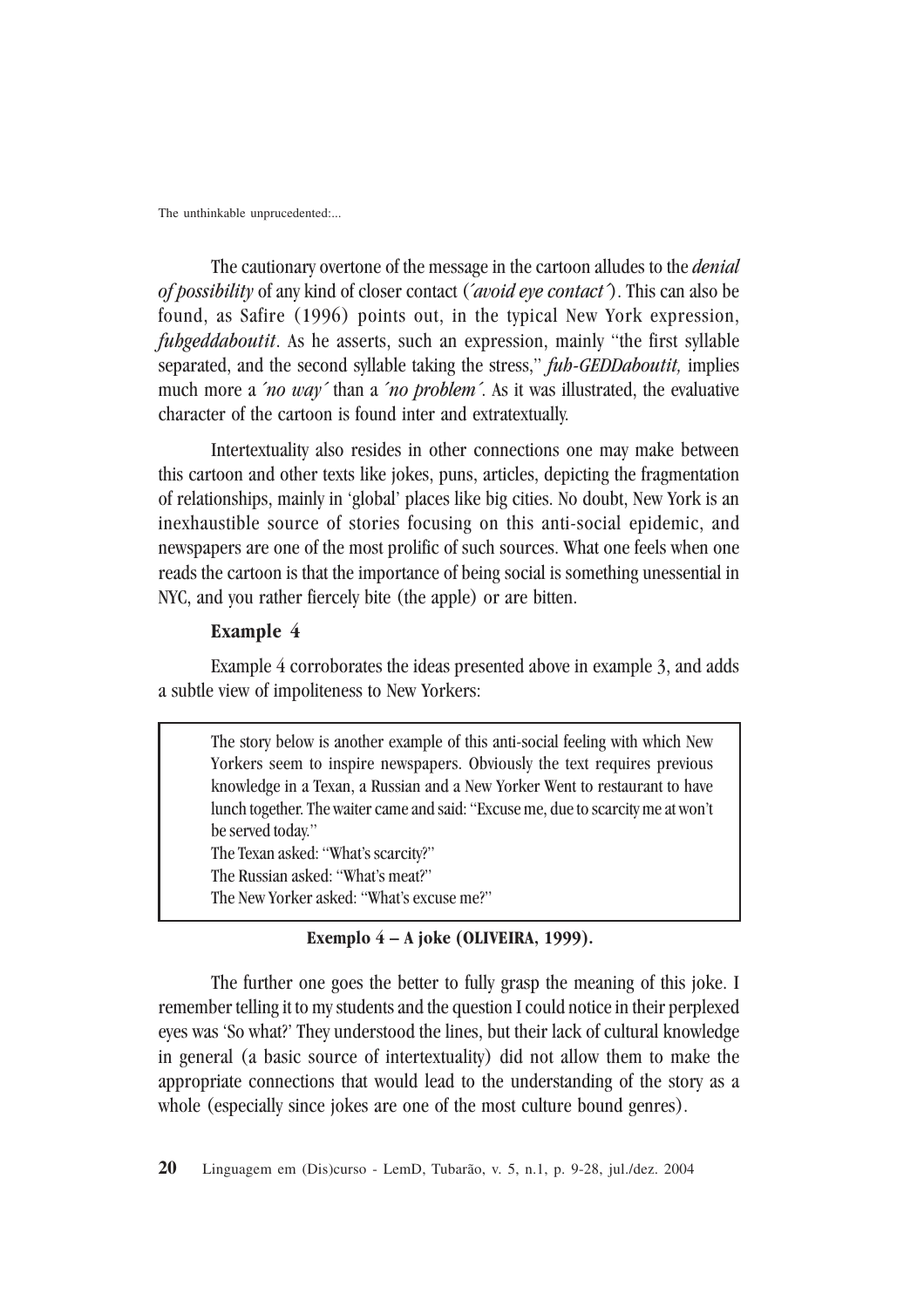The cautionary overtone of the message in the cartoon alludes to the *denial of possibility* of any kind of closer contact (´*avoid eye contact´*). This can also be found, as Safire (1996) points out, in the typical New York expression, *fuhgeddaboutit*. As he asserts, such an expression, mainly "the first syllable separated, and the second syllable taking the stress," *fuh-GEDDaboutit,* implies much more a ´*no way´* than a ´*no problem´*. As it was illustrated, the evaluative character of the cartoon is found inter and extratextually.

Intertextuality also resides in other connections one may make between this cartoon and other texts like jokes, puns, articles, depicting the fragmentation of relationships, mainly in 'global' places like big cities. No doubt, New York is an inexhaustible source of stories focusing on this anti-social epidemic, and newspapers are one of the most prolific of such sources. What one feels when one reads the cartoon is that the importance of being social is something unessential in NYC, and you rather fiercely bite (the apple) or are bitten.

#### **Example 4**

Example 4 corroborates the ideas presented above in example 3, and adds a subtle view of impoliteness to New Yorkers:

The story below is another example of this anti-social feeling with which New Yorkers seem to inspire newspapers. Obviously the text requires previous knowledge in a Texan, a Russian and a New Yorker Went to restaurant to have lunch together. The waiter came and said: "Excuse me, due to scarcity me at won't be served today." The Texan asked: "What's scarcity?" The Russian asked: "What's meat?" The New Yorker asked: "What's excuse me?"

#### **Exemplo 4 – A joke (OLIVEIRA, 1999).**

The further one goes the better to fully grasp the meaning of this joke. I remember telling it to my students and the question I could notice in their perplexed eyes was 'So what?' They understood the lines, but their lack of cultural knowledge in general (a basic source of intertextuality) did not allow them to make the appropriate connections that would lead to the understanding of the story as a whole (especially since jokes are one of the most culture bound genres).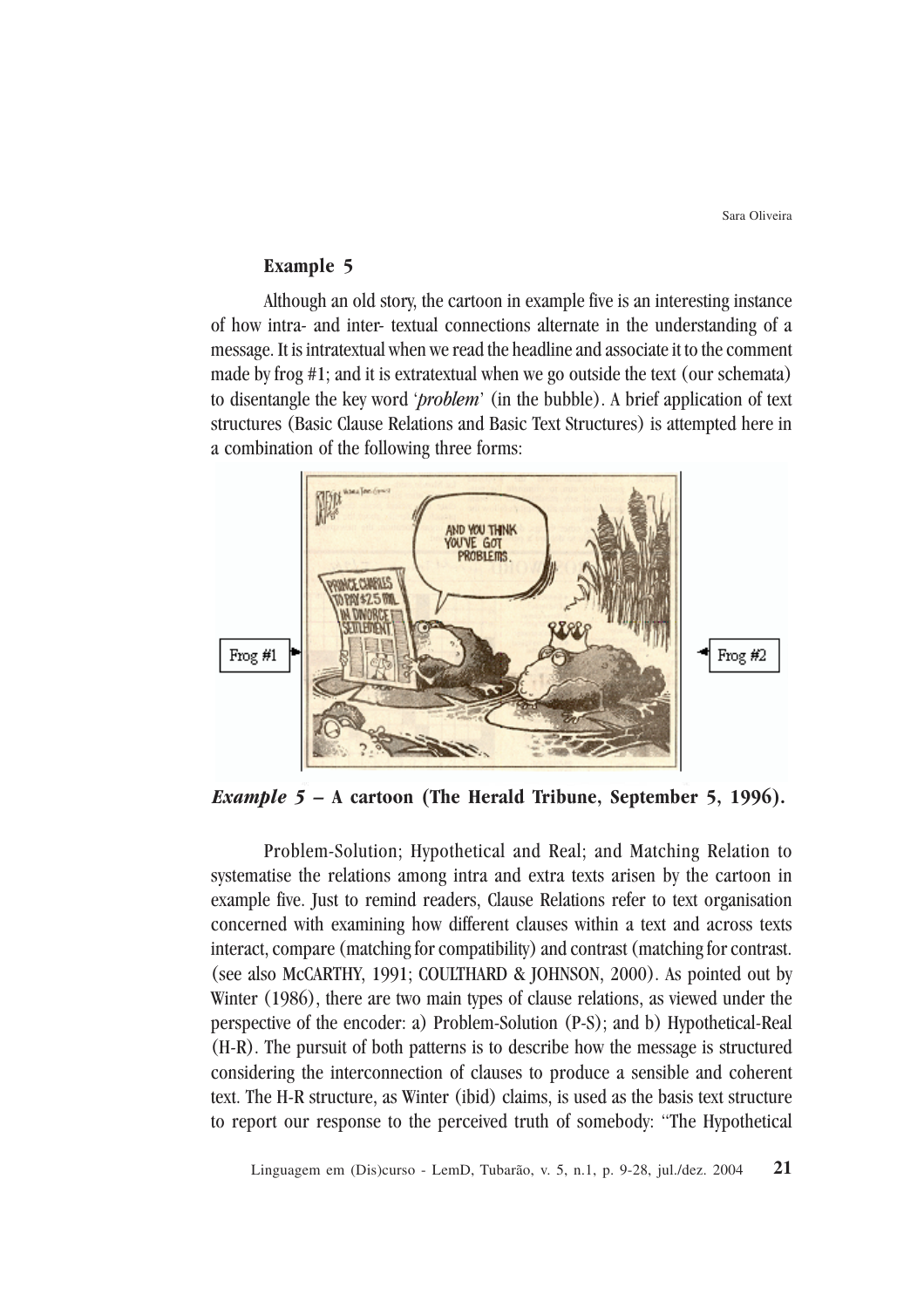### **Example 5**

Although an old story, the cartoon in example five is an interesting instance of how intra- and inter- textual connections alternate in the understanding of a message. It is intratextual when we read the headline and associate it to the comment made by frog #1; and it is extratextual when we go outside the text (our schemata) to disentangle the key word '*problem*' (in the bubble). A brief application of text structures (Basic Clause Relations and Basic Text Structures) is attempted here in a combination of the following three forms:



*Example 5 –* **A cartoon (The Herald Tribune, September 5, 1996).**

Problem-Solution; Hypothetical and Real; and Matching Relation to systematise the relations among intra and extra texts arisen by the cartoon in example five. Just to remind readers, Clause Relations refer to text organisation concerned with examining how different clauses within a text and across texts interact, compare (matching for compatibility) and contrast (matching for contrast. (see also McCARTHY, 1991; COULTHARD & JOHNSON, 2000). As pointed out by Winter (1986), there are two main types of clause relations, as viewed under the perspective of the encoder: a) Problem-Solution (P-S); and b) Hypothetical-Real (H-R). The pursuit of both patterns is to describe how the message is structured considering the interconnection of clauses to produce a sensible and coherent text. The H-R structure, as Winter (ibid) claims, is used as the basis text structure to report our response to the perceived truth of somebody: "The Hypothetical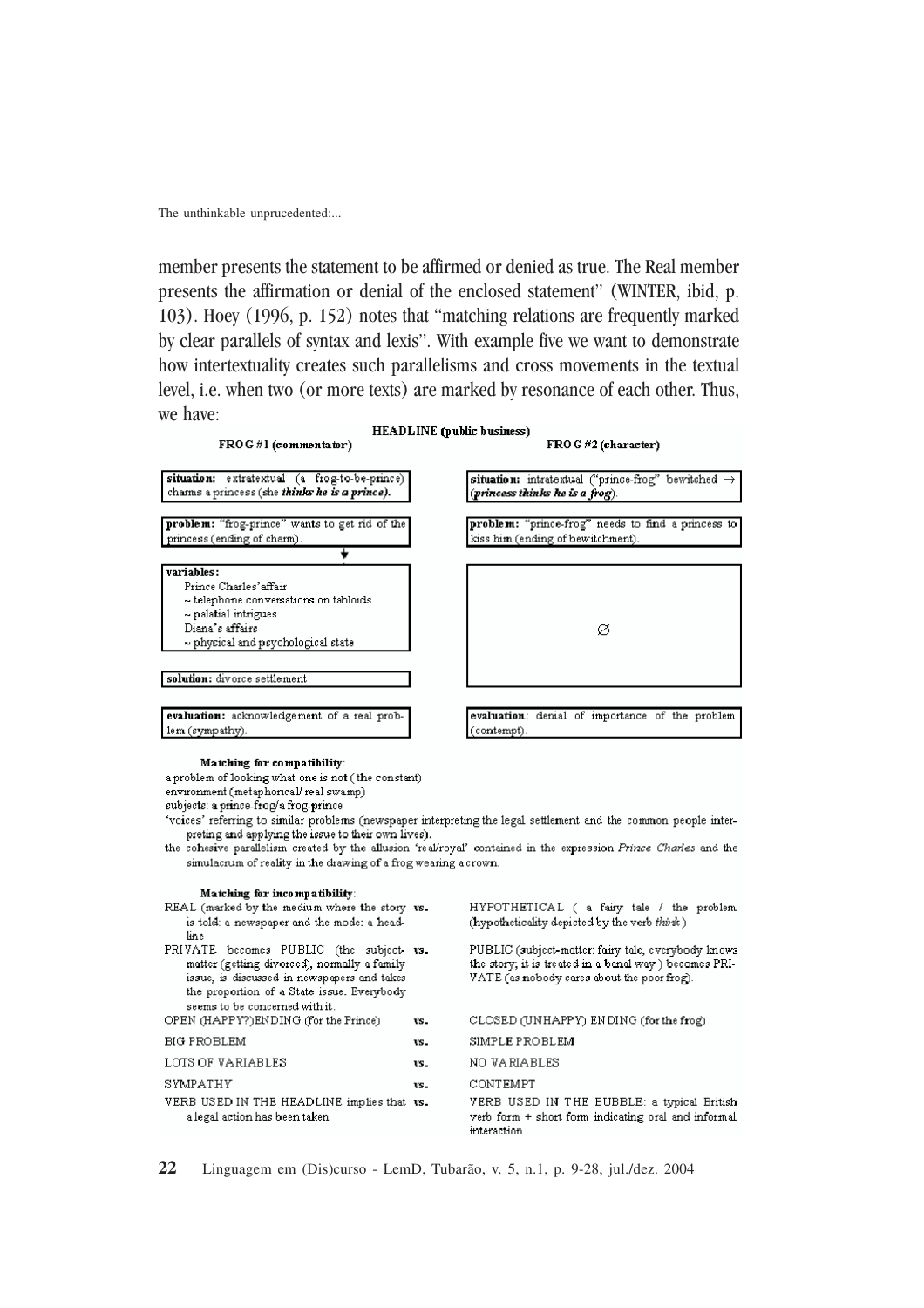member presents the statement to be affirmed or denied as true. The Real member presents the affirmation or denial of the enclosed statement" (WINTER, ibid, p. 103). Hoey (1996, p. 152) notes that "matching relations are frequently marked by clear parallels of syntax and lexis". With example five we want to demonstrate how intertextuality creates such parallelisms and cross movements in the textual level, i.e. when two (or more texts) are marked by resonance of each other. Thus, we have:



**Matching for compatibility**:

a problem of looking what one is not (the constant)

environment (metaphorical/ real swamp)

x subjects: a prince-frog/a frog-prince

x 'voices' referring to similar problems (newspaper interpreting the legal settlement and the common

preting and applying the issue to their own lives). the cohesive parallelism created by the allusion 'real/royal' contained in the expression *Prince Charles* and the simulacrum of reality in the drawing of a frog wearing a crown.

| Matching for incompatibility:                                                                                                                                                                                          |     |                                                                                                                                                              |
|------------------------------------------------------------------------------------------------------------------------------------------------------------------------------------------------------------------------|-----|--------------------------------------------------------------------------------------------------------------------------------------------------------------|
| REAL (marked by the medium where the story vs.<br>is told: a newspaper and the mode: a head-<br>lin e.                                                                                                                 |     | HYPOTHETICAL ( a fairy tale / the problem<br>(hypotheticality depicted by the verb think)                                                                    |
| PRIVATE becomes PUBLIC (the subject vs.<br>matter (getting divorced), normally a family<br>issue, is discussed in newspapers and takes<br>the proportion of a State issue. Everybody<br>seems to be concerned with it. |     | PUBLIC (subject-matter: fairy tale, everybody knows<br>the story; it is treated in a banal way ) becomes PRI-<br>VATE (as nobody cares about the poor frog). |
| OPEN (HAPPY?)ENDING (for the Prince)                                                                                                                                                                                   | VS. | CLOSED (UNHAPPY) ENDING (for the frog)                                                                                                                       |
| BIG PROBLEM                                                                                                                                                                                                            | VS. | SIMPLE PROBLEM                                                                                                                                               |
| LOTS OF VARIABLES                                                                                                                                                                                                      | VS. | NO VARIABLES                                                                                                                                                 |
| SYMPATHY                                                                                                                                                                                                               | VS- | CONTEMPT                                                                                                                                                     |
| VERB USED IN THE HEADLINE implies that vs.<br>a legal action has been taken                                                                                                                                            |     | VERB USED IN THE BUBBLE: a typical British<br>verb form + short form indicating oral and informal<br>interaction                                             |

**22** Linguagem em (Dis)curso - LemD, Tubarão, v. 5, n.1, p. 9-28, jul./dez. 2004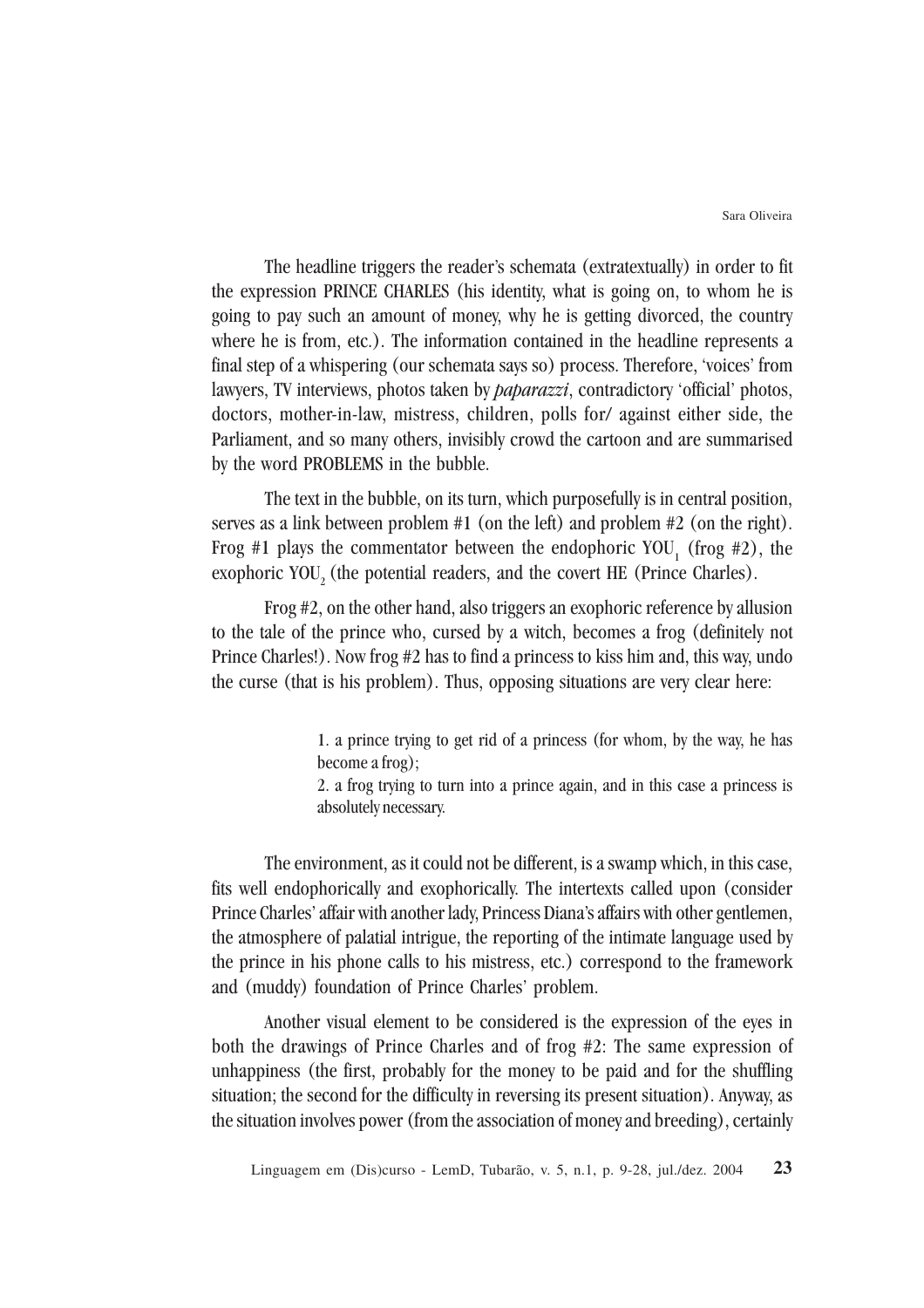The headline triggers the reader's schemata (extratextually) in order to fit the expression PRINCE CHARLES (his identity, what is going on, to whom he is going to pay such an amount of money, why he is getting divorced, the country where he is from, etc.). The information contained in the headline represents a final step of a whispering (our schemata says so) process. Therefore, 'voices' from lawyers, TV interviews, photos taken by *paparazzi*, contradictory 'official' photos, doctors, mother-in-law, mistress, children, polls for/ against either side, the Parliament, and so many others, invisibly crowd the cartoon and are summarised by the word PROBLEMS in the bubble.

The text in the bubble, on its turn, which purposefully is in central position, serves as a link between problem #1 (on the left) and problem #2 (on the right). Frog #1 plays the commentator between the endophoric YOU<sub>1</sub> (frog #2), the exophoric YOU<sub>2</sub> (the potential readers, and the covert HE (Prince Charles).

Frog #2, on the other hand, also triggers an exophoric reference by allusion to the tale of the prince who, cursed by a witch, becomes a frog (definitely not Prince Charles!). Now frog #2 has to find a princess to kiss him and, this way, undo the curse (that is his problem). Thus, opposing situations are very clear here:

> 1. a prince trying to get rid of a princess (for whom, by the way, he has become a frog);

> 2. a frog trying to turn into a prince again, and in this case a princess is absolutely necessary.

The environment, as it could not be different, is a swamp which, in this case, fits well endophorically and exophorically. The intertexts called upon (consider Prince Charles' affair with another lady, Princess Diana's affairs with other gentlemen, the atmosphere of palatial intrigue, the reporting of the intimate language used by the prince in his phone calls to his mistress, etc.) correspond to the framework and (muddy) foundation of Prince Charles' problem.

Another visual element to be considered is the expression of the eyes in both the drawings of Prince Charles and of frog #2: The same expression of unhappiness (the first, probably for the money to be paid and for the shuffling situation; the second for the difficulty in reversing its present situation). Anyway, as the situation involves power (from the association of money and breeding), certainly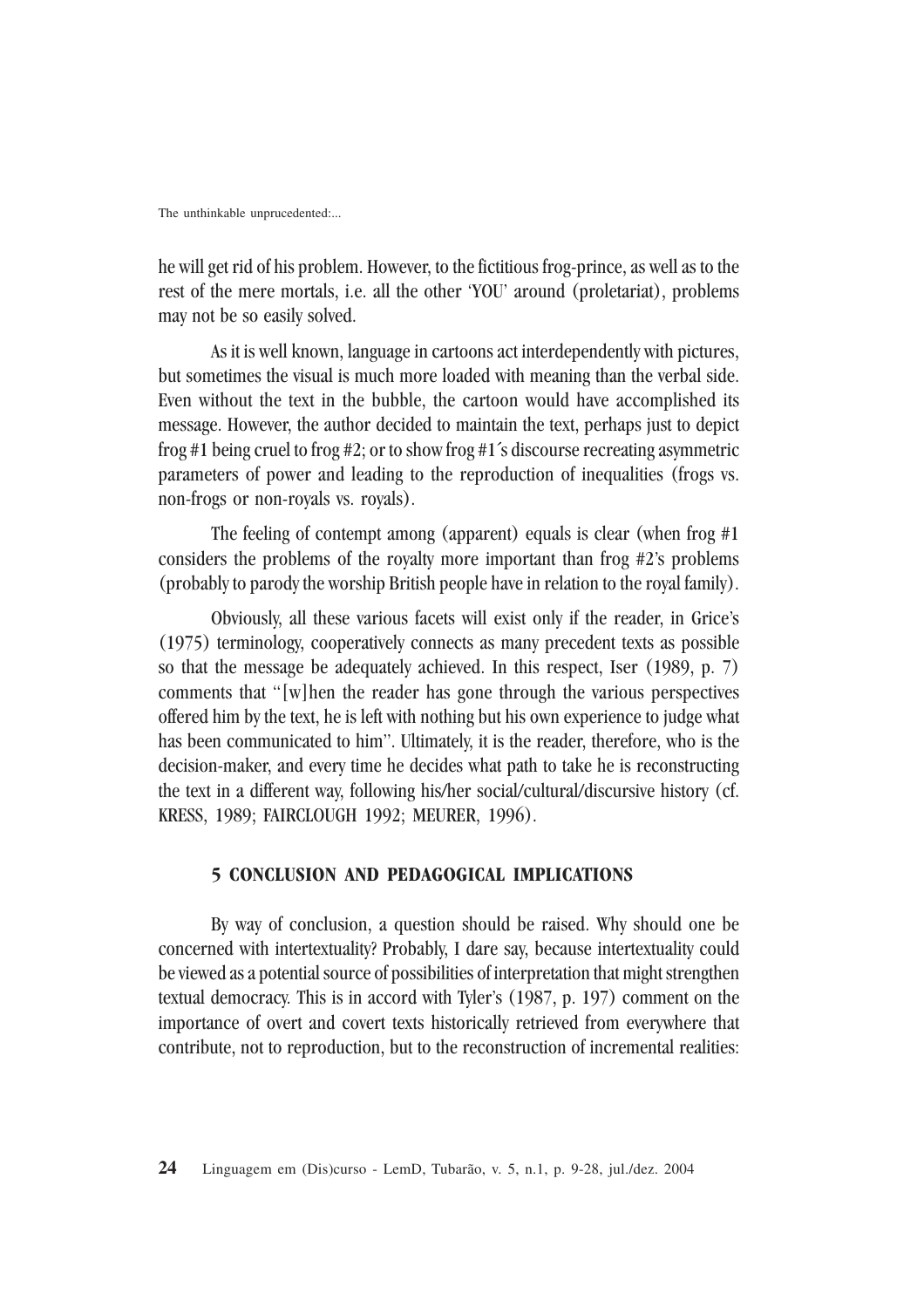he will get rid of his problem. However, to the fictitious frog-prince, as well as to the rest of the mere mortals, i.e. all the other 'YOU' around (proletariat), problems may not be so easily solved.

As it is well known, language in cartoons act interdependently with pictures, but sometimes the visual is much more loaded with meaning than the verbal side. Even without the text in the bubble, the cartoon would have accomplished its message. However, the author decided to maintain the text, perhaps just to depict frog #1 being cruel to frog #2; or to show frog #1´s discourse recreating asymmetric parameters of power and leading to the reproduction of inequalities (frogs vs. non-frogs or non-royals vs. royals).

The feeling of contempt among (apparent) equals is clear (when frog #1 considers the problems of the royalty more important than frog #2's problems (probably to parody the worship British people have in relation to the royal family).

Obviously, all these various facets will exist only if the reader, in Grice's (1975) terminology, cooperatively connects as many precedent texts as possible so that the message be adequately achieved. In this respect, Iser (1989, p. 7) comments that "[w]hen the reader has gone through the various perspectives offered him by the text, he is left with nothing but his own experience to judge what has been communicated to him". Ultimately, it is the reader, therefore, who is the decision-maker, and every time he decides what path to take he is reconstructing the text in a different way, following his/her social/cultural/discursive history (cf. KRESS, 1989; FAIRCLOUGH 1992; MEURER, 1996).

#### **5 CONCLUSION AND PEDAGOGICAL IMPLICATIONS**

By way of conclusion, a question should be raised. Why should one be concerned with intertextuality? Probably, I dare say, because intertextuality could be viewed as a potential source of possibilities of interpretation that might strengthen textual democracy. This is in accord with Tyler's (1987, p. 197) comment on the importance of overt and covert texts historically retrieved from everywhere that contribute, not to reproduction, but to the reconstruction of incremental realities: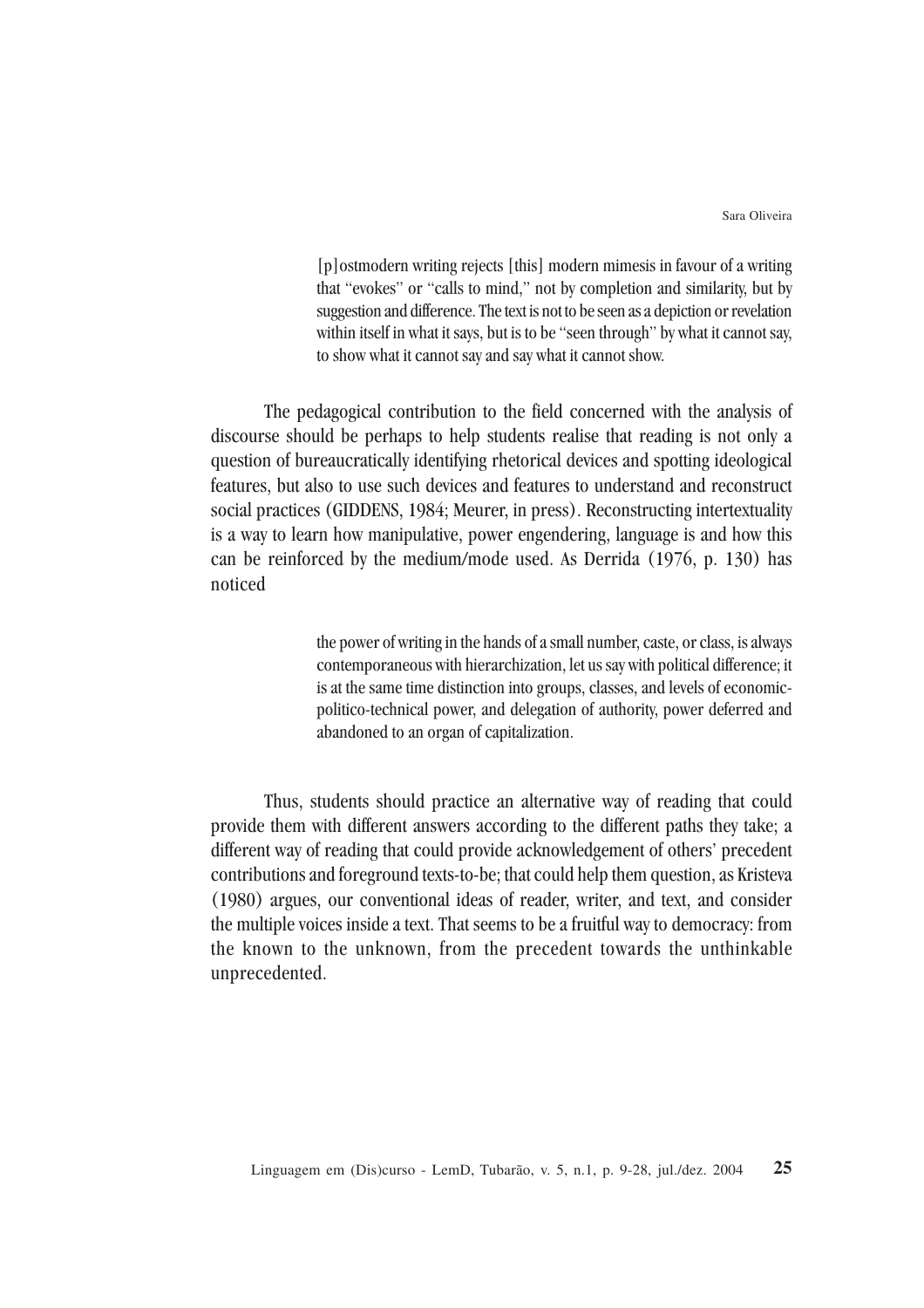Sara Oliveira

[p]ostmodern writing rejects [this] modern mimesis in favour of a writing that "evokes" or "calls to mind," not by completion and similarity, but by suggestion and difference. The text is not to be seen as a depiction or revelation within itself in what it says, but is to be "seen through" by what it cannot say, to show what it cannot say and say what it cannot show.

The pedagogical contribution to the field concerned with the analysis of discourse should be perhaps to help students realise that reading is not only a question of bureaucratically identifying rhetorical devices and spotting ideological features, but also to use such devices and features to understand and reconstruct social practices (GIDDENS, 1984; Meurer, in press). Reconstructing intertextuality is a way to learn how manipulative, power engendering, language is and how this can be reinforced by the medium/mode used. As Derrida (1976, p. 130) has noticed

> the power of writing in the hands of a small number, caste, or class, is always contemporaneous with hierarchization, let us say with political difference; it is at the same time distinction into groups, classes, and levels of economicpolitico-technical power, and delegation of authority, power deferred and abandoned to an organ of capitalization.

Thus, students should practice an alternative way of reading that could provide them with different answers according to the different paths they take; a different way of reading that could provide acknowledgement of others' precedent contributions and foreground texts-to-be; that could help them question, as Kristeva (1980) argues, our conventional ideas of reader, writer, and text, and consider the multiple voices inside a text. That seems to be a fruitful way to democracy: from the known to the unknown, from the precedent towards the unthinkable unprecedented.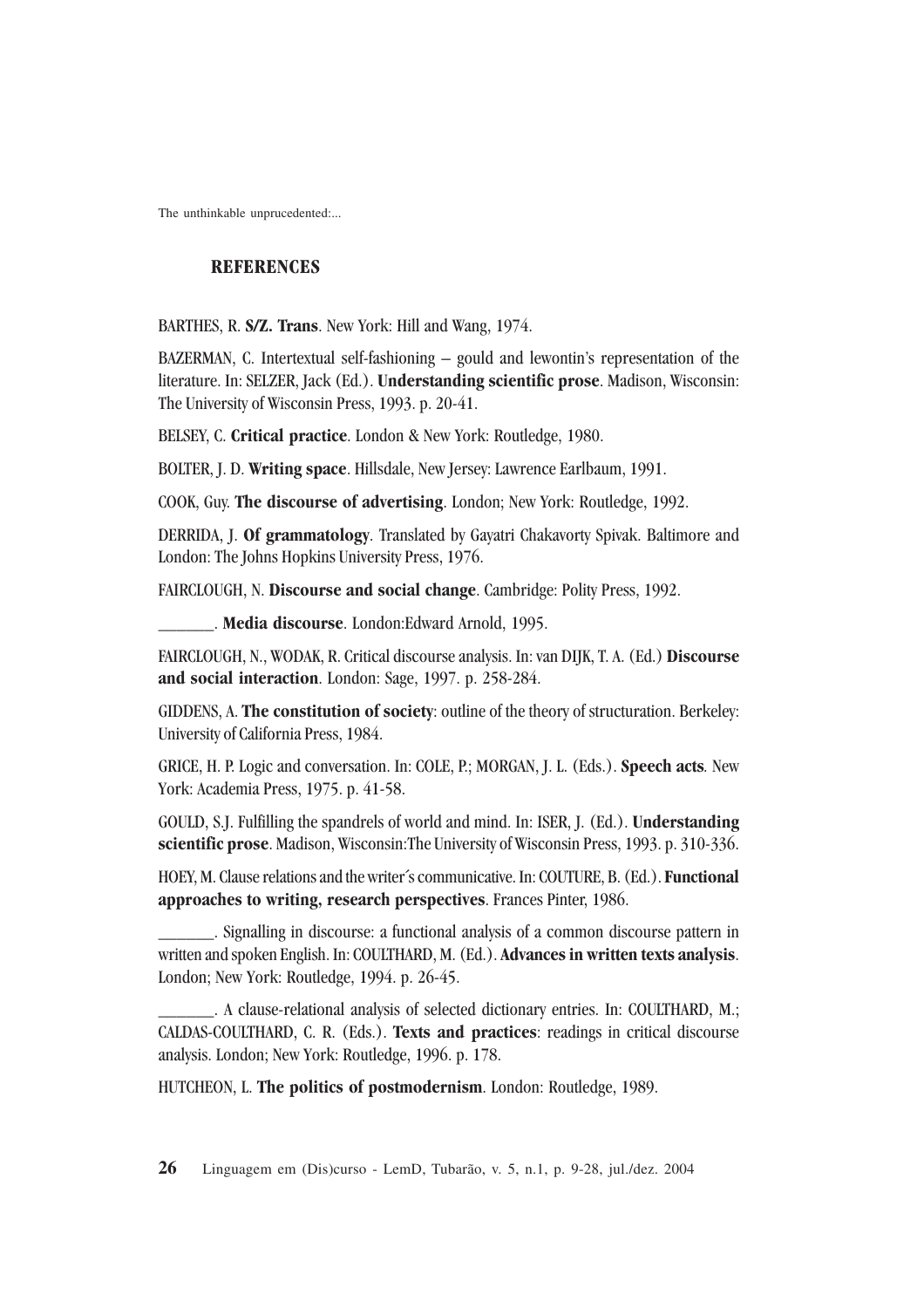# **REFERENCES**

BARTHES, R. **S/Z. Trans**. New York: Hill and Wang, 1974.

BAZERMAN, C. Intertextual self-fashioning – gould and lewontin's representation of the literature. In: SELZER, Jack (Ed.). **Understanding scientific prose**. Madison, Wisconsin: The University of Wisconsin Press, 1993. p. 20-41.

BELSEY, C. **Critical practice**. London & New York: Routledge, 1980.

BOLTER, J. D. **Writing space**. Hillsdale, New Jersey: Lawrence Earlbaum, 1991.

COOK, Guy. **The discourse of advertising**. London; New York: Routledge, 1992.

DERRIDA, J. **Of grammatology**. Translated by Gayatri Chakavorty Spivak. Baltimore and London: The Johns Hopkins University Press, 1976.

FAIRCLOUGH, N. **Discourse and social change**. Cambridge: Polity Press, 1992.

\_\_\_\_\_\_. **Media discourse**. London:Edward Arnold, 1995.

FAIRCLOUGH, N., WODAK, R. Critical discourse analysis. In: van DIJK, T. A. (Ed.) **Discourse and social interaction**. London: Sage, 1997. p. 258-284.

GIDDENS, A. **The constitution of society**: outline of the theory of structuration. Berkeley: University of California Press, 1984.

GRICE, H. P. Logic and conversation. In: COLE, P.; MORGAN, J. L. (Eds.). **Speech acts***.* New York: Academia Press, 1975. p. 41-58.

GOULD, S.J. Fulfilling the spandrels of world and mind. In: ISER, J. (Ed.). **Understanding scientific prose**. Madison, Wisconsin:The University of Wisconsin Press, 1993. p. 310-336.

HOEY, M. Clause relations and the writer´s communicative. In: COUTURE, B. (Ed.). **Functional approaches to writing, research perspectives**. Frances Pinter, 1986.

Signalling in discourse: a functional analysis of a common discourse pattern in written and spoken English. In: COULTHARD, M. (Ed.). **Advances in written texts analysis**. London; New York: Routledge, 1994. p. 26-45.

\_\_\_\_\_\_. A clause-relational analysis of selected dictionary entries. In: COULTHARD, M.; CALDAS-COULTHARD, C. R. (Eds.). **Texts and practices**: readings in critical discourse analysis. London; New York: Routledge, 1996. p. 178.

HUTCHEON, L. **The politics of postmodernism**. London: Routledge, 1989.

**26** Linguagem em (Dis)curso - LemD, Tubarão, v. 5, n.1, p. 9-28, jul./dez. 2004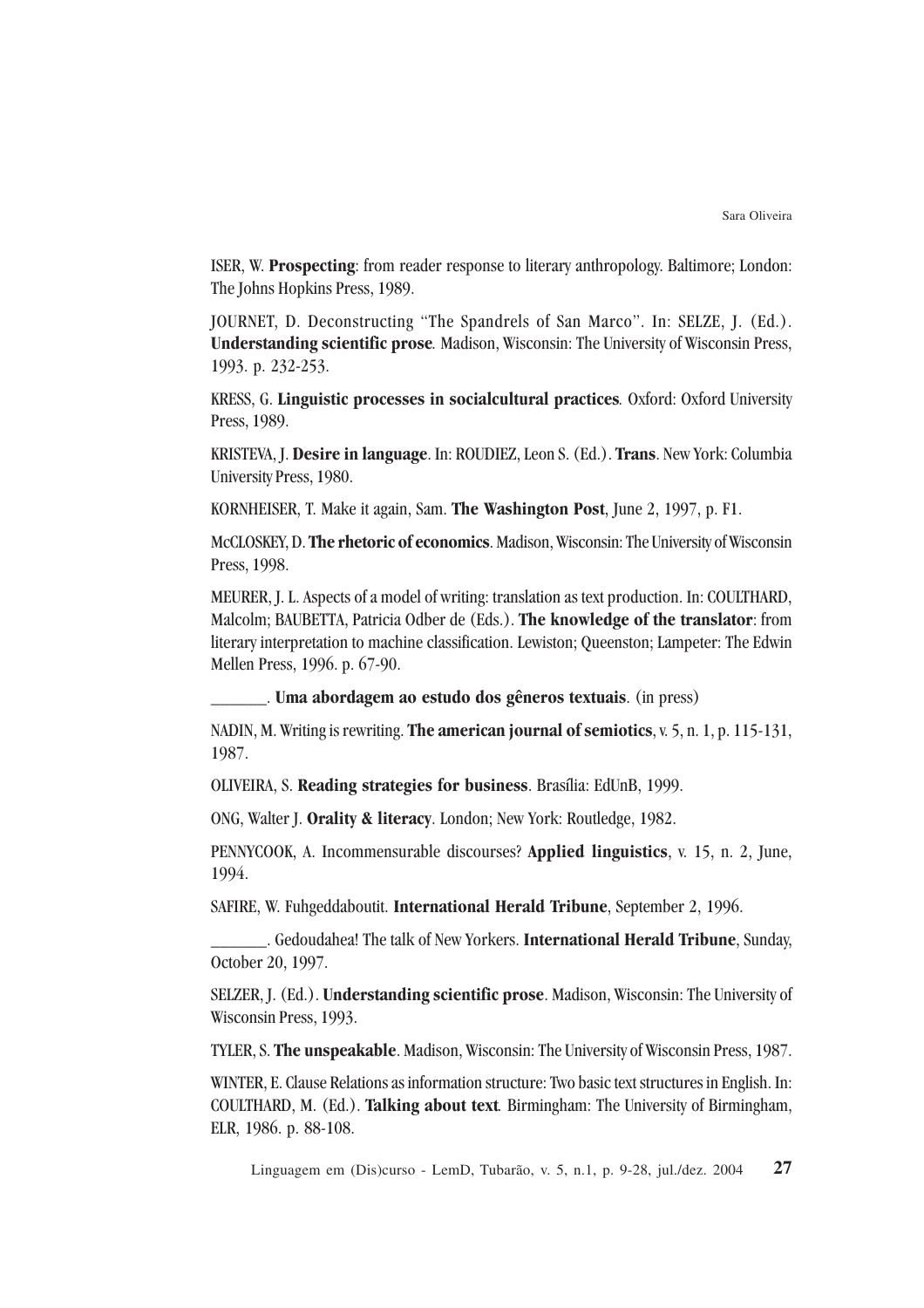ISER, W. **Prospecting**: from reader response to literary anthropology. Baltimore; London: The Johns Hopkins Press, 1989.

JOURNET, D. Deconstructing "The Spandrels of San Marco". In: SELZE, J. (Ed.). **Understanding scientific prose***.* Madison, Wisconsin: The University of Wisconsin Press, 1993. p. 232-253.

KRESS, G. **Linguistic processes in socialcultural practices***.* Oxford: Oxford University Press, 1989.

KRISTEVA, J. **Desire in language**. In: ROUDIEZ, Leon S. (Ed.). **Trans**. New York: Columbia University Press, 1980.

KORNHEISER, T. Make it again, Sam. **The Washington Post**, June 2, 1997, p. F1.

McCLOSKEY, D. **The rhetoric of economics**. Madison, Wisconsin: The University of Wisconsin Press, 1998.

MEURER, J. L. Aspects of a model of writing: translation as text production. In: COULTHARD, Malcolm; BAUBETTA, Patricia Odber de (Eds.). **The knowledge of the translator**: from literary interpretation to machine classification. Lewiston; Queenston; Lampeter: The Edwin Mellen Press, 1996. p. 67-90.

\_\_\_\_\_\_. **Uma abordagem ao estudo dos gêneros textuais**. (in press)

NADIN, M. Writing is rewriting. **The american journal of semiotics**, v. 5, n. 1, p. 115-131, 1987.

OLIVEIRA, S. **Reading strategies for business**. Brasília: EdUnB, 1999.

ONG, Walter J. **Orality & literacy**. London; New York: Routledge, 1982.

PENNYCOOK, A. Incommensurable discourses? **Applied linguistics**, v. 15, n. 2, June, 1994.

SAFIRE, W. Fuhgeddaboutit. **International Herald Tribune**, September 2, 1996.

\_\_\_\_\_\_. Gedoudahea! The talk of New Yorkers. **International Herald Tribune**, Sunday, October 20, 1997.

SELZER, J. (Ed.). **Understanding scientific prose**. Madison, Wisconsin: The University of Wisconsin Press, 1993.

TYLER, S. **The unspeakable**. Madison, Wisconsin: The University of Wisconsin Press, 1987.

WINTER, E. Clause Relations as information structure: Two basic text structures in English. In: COULTHARD, M. (Ed.). **Talking about text***.* Birmingham: The University of Birmingham, ELR, 1986. p. 88-108.

**27** Linguagem em (Dis)curso - LemD, Tubarão, v. 5, n.1, p. 9-28, jul./dez. 2004